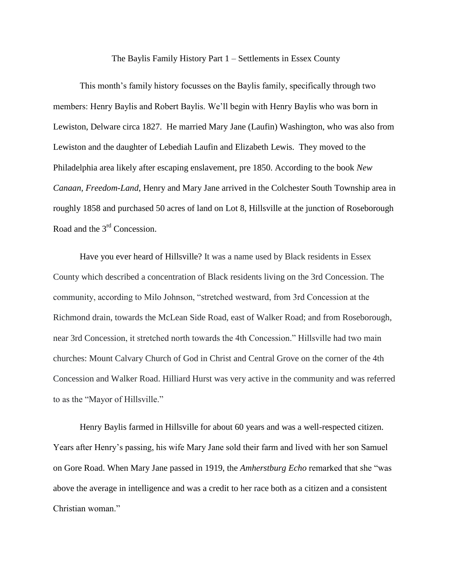The Baylis Family History Part 1 – Settlements in Essex County

This month's family history focusses on the Baylis family, specifically through two members: Henry Baylis and Robert Baylis. We'll begin with Henry Baylis who was born in Lewiston, Delware circa 1827. He married Mary Jane (Laufin) Washington, who was also from Lewiston and the daughter of Lebediah Laufin and Elizabeth Lewis. They moved to the Philadelphia area likely after escaping enslavement, pre 1850. According to the book *New Canaan, Freedom-Land*, Henry and Mary Jane arrived in the Colchester South Township area in roughly 1858 and purchased 50 acres of land on Lot 8, Hillsville at the junction of Roseborough Road and the 3rd Concession.

Have you ever heard of Hillsville? It was a name used by Black residents in Essex County which described a concentration of Black residents living on the 3rd Concession. The community, according to Milo Johnson, "stretched westward, from 3rd Concession at the Richmond drain, towards the McLean Side Road, east of Walker Road; and from Roseborough, near 3rd Concession, it stretched north towards the 4th Concession." Hillsville had two main churches: Mount Calvary Church of God in Christ and Central Grove on the corner of the 4th Concession and Walker Road. Hilliard Hurst was very active in the community and was referred to as the "Mayor of Hillsville."

Henry Baylis farmed in Hillsville for about 60 years and was a well-respected citizen. Years after Henry's passing, his wife Mary Jane sold their farm and lived with her son Samuel on Gore Road. When Mary Jane passed in 1919, the *Amherstburg Echo* remarked that she "was above the average in intelligence and was a credit to her race both as a citizen and a consistent Christian woman."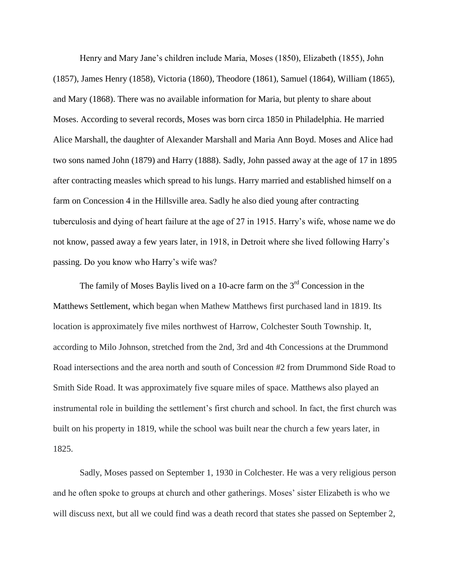Henry and Mary Jane's children include Maria, Moses (1850), Elizabeth (1855), John (1857), James Henry (1858), Victoria (1860), Theodore (1861), Samuel (1864), William (1865), and Mary (1868). There was no available information for Maria, but plenty to share about Moses. According to several records, Moses was born circa 1850 in Philadelphia. He married Alice Marshall, the daughter of Alexander Marshall and Maria Ann Boyd. Moses and Alice had two sons named John (1879) and Harry (1888). Sadly, John passed away at the age of 17 in 1895 after contracting measles which spread to his lungs. Harry married and established himself on a farm on Concession 4 in the Hillsville area. Sadly he also died young after contracting tuberculosis and dying of heart failure at the age of 27 in 1915. Harry's wife, whose name we do not know, passed away a few years later, in 1918, in Detroit where she lived following Harry's passing. Do you know who Harry's wife was?

The family of Moses Baylis lived on a 10-acre farm on the  $3<sup>rd</sup>$  Concession in the Matthews Settlement, which began when Mathew Matthews first purchased land in 1819. Its location is approximately five miles northwest of Harrow, Colchester South Township. It, according to Milo Johnson, stretched from the 2nd, 3rd and 4th Concessions at the Drummond Road intersections and the area north and south of Concession #2 from Drummond Side Road to Smith Side Road. It was approximately five square miles of space. Matthews also played an instrumental role in building the settlement's first church and school. In fact, the first church was built on his property in 1819, while the school was built near the church a few years later, in 1825.

Sadly, Moses passed on September 1, 1930 in Colchester. He was a very religious person and he often spoke to groups at church and other gatherings. Moses' sister Elizabeth is who we will discuss next, but all we could find was a death record that states she passed on September 2,